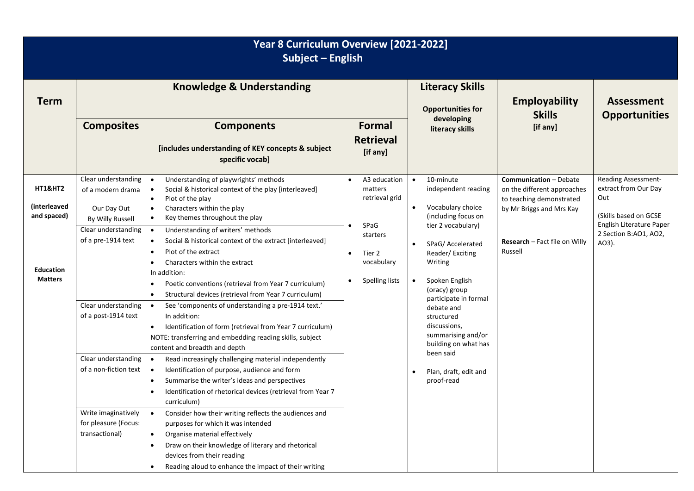| Year 8 Curriculum Overview [2021-2022]<br>Subject - English                             |                                                                                                                                                                                                                                                                                         |                                                                                                                                                                                                                                                                                                                                                                                                                                                                                                                                                                                                                                                                                                                                                                                                                                                                                                                                                                                                                                                                                                                                                                                                                                                                                                                                             |                                                                                                                                          |                                                                                                                                                                                                                                                                                                                                                                                                                    |                                                                                                                                                                         |                                                                                                                                           |
|-----------------------------------------------------------------------------------------|-----------------------------------------------------------------------------------------------------------------------------------------------------------------------------------------------------------------------------------------------------------------------------------------|---------------------------------------------------------------------------------------------------------------------------------------------------------------------------------------------------------------------------------------------------------------------------------------------------------------------------------------------------------------------------------------------------------------------------------------------------------------------------------------------------------------------------------------------------------------------------------------------------------------------------------------------------------------------------------------------------------------------------------------------------------------------------------------------------------------------------------------------------------------------------------------------------------------------------------------------------------------------------------------------------------------------------------------------------------------------------------------------------------------------------------------------------------------------------------------------------------------------------------------------------------------------------------------------------------------------------------------------|------------------------------------------------------------------------------------------------------------------------------------------|--------------------------------------------------------------------------------------------------------------------------------------------------------------------------------------------------------------------------------------------------------------------------------------------------------------------------------------------------------------------------------------------------------------------|-------------------------------------------------------------------------------------------------------------------------------------------------------------------------|-------------------------------------------------------------------------------------------------------------------------------------------|
| <b>Term</b>                                                                             | <b>Knowledge &amp; Understanding</b>                                                                                                                                                                                                                                                    |                                                                                                                                                                                                                                                                                                                                                                                                                                                                                                                                                                                                                                                                                                                                                                                                                                                                                                                                                                                                                                                                                                                                                                                                                                                                                                                                             |                                                                                                                                          | <b>Literacy Skills</b><br><b>Opportunities for</b>                                                                                                                                                                                                                                                                                                                                                                 | <b>Employability</b><br><b>Skills</b>                                                                                                                                   | <b>Assessment</b><br><b>Opportunities</b>                                                                                                 |
|                                                                                         | <b>Composites</b>                                                                                                                                                                                                                                                                       | <b>Components</b><br>[includes understanding of KEY concepts & subject<br>specific vocab]                                                                                                                                                                                                                                                                                                                                                                                                                                                                                                                                                                                                                                                                                                                                                                                                                                                                                                                                                                                                                                                                                                                                                                                                                                                   | Formal<br><b>Retrieval</b><br>[if any]                                                                                                   | developing<br>literacy skills                                                                                                                                                                                                                                                                                                                                                                                      | [if any]                                                                                                                                                                |                                                                                                                                           |
| <b>HT1&amp;HT2</b><br>(interleaved<br>and spaced)<br><b>Education</b><br><b>Matters</b> | Clear understanding<br>of a modern drama<br>Our Day Out<br>By Willy Russell<br>Clear understanding<br>of a pre-1914 text<br>Clear understanding<br>of a post-1914 text<br>Clear understanding<br>of a non-fiction text<br>Write imaginatively<br>for pleasure (Focus:<br>transactional) | Understanding of playwrights' methods<br>$\bullet$<br>Social & historical context of the play [interleaved]<br>$\bullet$<br>Plot of the play<br>$\bullet$<br>Characters within the play<br>$\bullet$<br>Key themes throughout the play<br>$\bullet$<br>Understanding of writers' methods<br>$\bullet$<br>Social & historical context of the extract [interleaved]<br>$\bullet$<br>Plot of the extract<br>$\bullet$<br>Characters within the extract<br>$\bullet$<br>In addition:<br>Poetic conventions (retrieval from Year 7 curriculum)<br>$\bullet$<br>Structural devices (retrieval from Year 7 curriculum)<br>$\bullet$<br>See 'components of understanding a pre-1914 text.'<br>$\bullet$<br>In addition:<br>Identification of form (retrieval from Year 7 curriculum)<br>$\bullet$<br>NOTE: transferring and embedding reading skills, subject<br>content and breadth and depth<br>Read increasingly challenging material independently<br>$\bullet$<br>Identification of purpose, audience and form<br>$\bullet$<br>Summarise the writer's ideas and perspectives<br>$\bullet$<br>Identification of rhetorical devices (retrieval from Year 7<br>$\bullet$<br>curriculum)<br>Consider how their writing reflects the audiences and<br>$\bullet$<br>purposes for which it was intended<br>Organise material effectively<br>$\bullet$ | A3 education<br>$\bullet$<br>matters<br>retrieval grid<br>SPaG<br>starters<br>Tier 2<br>$\bullet$<br>vocabulary<br><b>Spelling lists</b> | 10-minute<br>$\bullet$<br>independent reading<br>Vocabulary choice<br>$\bullet$<br>(including focus on<br>tier 2 vocabulary)<br>SPaG/Accelerated<br>$\bullet$<br>Reader/Exciting<br>Writing<br>Spoken English<br>(oracy) group<br>participate in formal<br>debate and<br>structured<br>discussions,<br>summarising and/or<br>building on what has<br>been said<br>Plan, draft, edit and<br>$\bullet$<br>proof-read | <b>Communication - Debate</b><br>on the different approaches<br>to teaching demonstrated<br>by Mr Briggs and Mrs Kay<br><b>Research - Fact file on Willy</b><br>Russell | Reading Assessment-<br>extract from Our Day<br>Out<br>(Skills based on GCSE<br>English Literature Paper<br>2 Section B:AO1, AO2,<br>AO3). |
|                                                                                         |                                                                                                                                                                                                                                                                                         | Draw on their knowledge of literary and rhetorical<br>$\bullet$<br>devices from their reading<br>Reading aloud to enhance the impact of their writing<br>$\bullet$                                                                                                                                                                                                                                                                                                                                                                                                                                                                                                                                                                                                                                                                                                                                                                                                                                                                                                                                                                                                                                                                                                                                                                          |                                                                                                                                          |                                                                                                                                                                                                                                                                                                                                                                                                                    |                                                                                                                                                                         |                                                                                                                                           |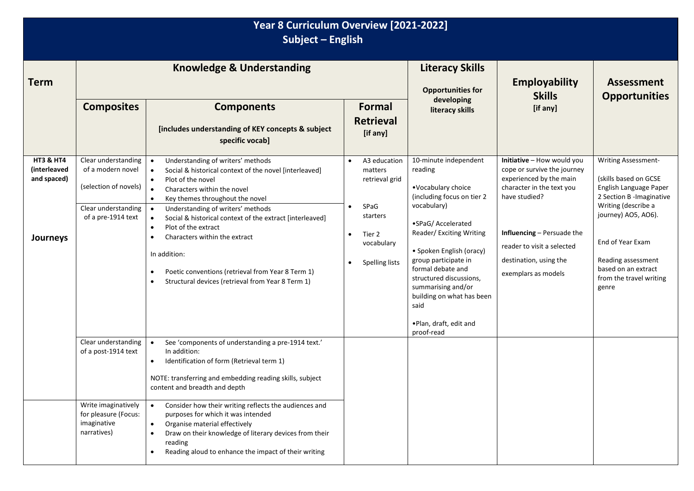| Year 8 Curriculum Overview [2021-2022]<br>Subject - English            |                                                                                                                |                                                                                                                                                                                                                                                                                                                                                                                                                                                                                                                                                                                                                      |                                                                                                                                                                    |                                                                                                                                                                                                                                                                                                                                                               |                                                                                                                                                                                                                                                 |                                                                                                                                                                                                                                                               |
|------------------------------------------------------------------------|----------------------------------------------------------------------------------------------------------------|----------------------------------------------------------------------------------------------------------------------------------------------------------------------------------------------------------------------------------------------------------------------------------------------------------------------------------------------------------------------------------------------------------------------------------------------------------------------------------------------------------------------------------------------------------------------------------------------------------------------|--------------------------------------------------------------------------------------------------------------------------------------------------------------------|---------------------------------------------------------------------------------------------------------------------------------------------------------------------------------------------------------------------------------------------------------------------------------------------------------------------------------------------------------------|-------------------------------------------------------------------------------------------------------------------------------------------------------------------------------------------------------------------------------------------------|---------------------------------------------------------------------------------------------------------------------------------------------------------------------------------------------------------------------------------------------------------------|
| <b>Term</b>                                                            |                                                                                                                | <b>Knowledge &amp; Understanding</b>                                                                                                                                                                                                                                                                                                                                                                                                                                                                                                                                                                                 |                                                                                                                                                                    | <b>Literacy Skills</b><br><b>Opportunities for</b>                                                                                                                                                                                                                                                                                                            | <b>Employability</b><br><b>Skills</b>                                                                                                                                                                                                           | <b>Assessment</b><br><b>Opportunities</b>                                                                                                                                                                                                                     |
|                                                                        | <b>Composites</b>                                                                                              | <b>Components</b><br>[includes understanding of KEY concepts & subject<br>specific vocab]                                                                                                                                                                                                                                                                                                                                                                                                                                                                                                                            | <b>Formal</b><br><b>Retrieval</b><br>[if any]                                                                                                                      | developing<br>literacy skills                                                                                                                                                                                                                                                                                                                                 | [if any]                                                                                                                                                                                                                                        |                                                                                                                                                                                                                                                               |
| <b>HT3 &amp; HT4</b><br><i>(interleaved</i><br>and spaced)<br>Journeys | Clear understanding<br>of a modern novel<br>(selection of novels)<br>Clear understanding<br>of a pre-1914 text | Understanding of writers' methods<br>$\bullet$<br>Social & historical context of the novel [interleaved]<br>$\bullet$<br>Plot of the novel<br>$\bullet$<br>Characters within the novel<br>$\bullet$<br>Key themes throughout the novel<br>$\bullet$<br>Understanding of writers' methods<br>$\bullet$<br>Social & historical context of the extract [interleaved]<br>$\bullet$<br>Plot of the extract<br>$\bullet$<br>Characters within the extract<br>$\bullet$<br>In addition:<br>Poetic conventions (retrieval from Year 8 Term 1)<br>$\bullet$<br>Structural devices (retrieval from Year 8 Term 1)<br>$\bullet$ | A3 education<br>$\bullet$<br>matters<br>retrieval grid<br>SPaG<br>$\bullet$<br>starters<br>Tier 2<br>$\bullet$<br>vocabulary<br><b>Spelling lists</b><br>$\bullet$ | 10-minute independent<br>reading<br>•Vocabulary choice<br>(including focus on tier 2<br>vocabulary)<br>•SPaG/ Accelerated<br>Reader/ Exciting Writing<br>· Spoken English (oracy)<br>group participate in<br>formal debate and<br>structured discussions,<br>summarising and/or<br>building on what has been<br>said<br>. Plan, draft, edit and<br>proof-read | Initiative - How would you<br>cope or survive the journey<br>experienced by the main<br>character in the text you<br>have studied?<br>Influencing - Persuade the<br>reader to visit a selected<br>destination, using the<br>exemplars as models | <b>Writing Assessment-</b><br>(skills based on GCSE<br>English Language Paper<br>2 Section B - Imaginative<br>Writing (describe a<br>journey) AO5, AO6).<br>End of Year Exam<br>Reading assessment<br>based on an extract<br>from the travel writing<br>genre |
|                                                                        | Clear understanding<br>of a post-1914 text                                                                     | See 'components of understanding a pre-1914 text.'<br>$\bullet$<br>In addition:<br>Identification of form (Retrieval term 1)<br>$\bullet$<br>NOTE: transferring and embedding reading skills, subject<br>content and breadth and depth                                                                                                                                                                                                                                                                                                                                                                               |                                                                                                                                                                    |                                                                                                                                                                                                                                                                                                                                                               |                                                                                                                                                                                                                                                 |                                                                                                                                                                                                                                                               |
|                                                                        | Write imaginatively<br>for pleasure (Focus:<br>imaginative<br>narratives)                                      | Consider how their writing reflects the audiences and<br>$\bullet$<br>purposes for which it was intended<br>Organise material effectively<br>$\bullet$<br>Draw on their knowledge of literary devices from their<br>$\bullet$<br>reading<br>Reading aloud to enhance the impact of their writing<br>$\bullet$                                                                                                                                                                                                                                                                                                        |                                                                                                                                                                    |                                                                                                                                                                                                                                                                                                                                                               |                                                                                                                                                                                                                                                 |                                                                                                                                                                                                                                                               |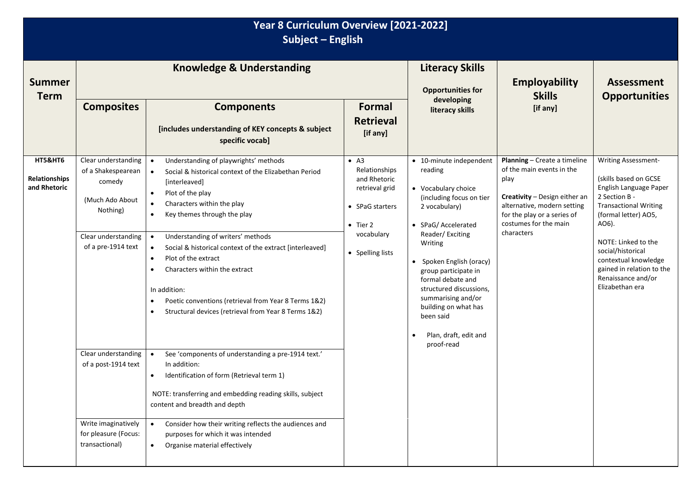| Year 8 Curriculum Overview [2021-2022]<br>Subject - English |                                                                                                                                                                               |                                                                                                                                                                                                                                                                                                                                                                                                                                                                                                                                                                                                                                                                                                                                                                                                                                      |                                                                                                                                          |                                                                                                                                                                                                                                                                                                                                                                                |                                                                                                                                                                                                         |                                                                                                                                                                                                                                                                                                    |  |
|-------------------------------------------------------------|-------------------------------------------------------------------------------------------------------------------------------------------------------------------------------|--------------------------------------------------------------------------------------------------------------------------------------------------------------------------------------------------------------------------------------------------------------------------------------------------------------------------------------------------------------------------------------------------------------------------------------------------------------------------------------------------------------------------------------------------------------------------------------------------------------------------------------------------------------------------------------------------------------------------------------------------------------------------------------------------------------------------------------|------------------------------------------------------------------------------------------------------------------------------------------|--------------------------------------------------------------------------------------------------------------------------------------------------------------------------------------------------------------------------------------------------------------------------------------------------------------------------------------------------------------------------------|---------------------------------------------------------------------------------------------------------------------------------------------------------------------------------------------------------|----------------------------------------------------------------------------------------------------------------------------------------------------------------------------------------------------------------------------------------------------------------------------------------------------|--|
| <b>Summer</b><br><b>Term</b>                                | <b>Composites</b>                                                                                                                                                             | <b>Knowledge &amp; Understanding</b><br><b>Components</b><br>[includes understanding of KEY concepts & subject<br>specific vocab]                                                                                                                                                                                                                                                                                                                                                                                                                                                                                                                                                                                                                                                                                                    | <b>Formal</b><br><b>Retrieval</b><br>[if any]                                                                                            | <b>Literacy Skills</b><br><b>Opportunities for</b><br>developing<br>literacy skills                                                                                                                                                                                                                                                                                            | <b>Employability</b><br><b>Skills</b><br>[if any]                                                                                                                                                       | <b>Assessment</b><br><b>Opportunities</b>                                                                                                                                                                                                                                                          |  |
| <b>HT5&amp;HT6</b><br><b>Relationships</b><br>and Rhetoric  | Clear understanding<br>of a Shakespearean<br>comedy<br>(Much Ado About<br>Nothing)<br>Clear understanding<br>of a pre-1914 text<br>Clear understanding<br>of a post-1914 text | Understanding of playwrights' methods<br>$\bullet$<br>Social & historical context of the Elizabethan Period<br>$\bullet$<br>[interleaved]<br>Plot of the play<br>$\bullet$<br>Characters within the play<br>$\bullet$<br>Key themes through the play<br>$\bullet$<br>Understanding of writers' methods<br>$\bullet$<br>Social & historical context of the extract [interleaved]<br>$\bullet$<br>Plot of the extract<br>$\bullet$<br>Characters within the extract<br>$\bullet$<br>In addition:<br>Poetic conventions (retrieval from Year 8 Terms 1&2)<br>$\bullet$<br>Structural devices (retrieval from Year 8 Terms 1&2)<br>$\bullet$<br>See 'components of understanding a pre-1914 text.'<br>In addition:<br>Identification of form (Retrieval term 1)<br>$\bullet$<br>NOTE: transferring and embedding reading skills, subject | $\bullet$ A3<br>Relationships<br>and Rhetoric<br>retrieval grid<br>• SPaG starters<br>$\bullet$ Tier 2<br>vocabulary<br>• Spelling lists | • 10-minute independent<br>reading<br>• Vocabulary choice<br>(including focus on tier<br>2 vocabulary)<br>• SPaG/ Accelerated<br>Reader/Exciting<br>Writing<br>• Spoken English (oracy)<br>group participate in<br>formal debate and<br>structured discussions,<br>summarising and/or<br>building on what has<br>been said<br>Plan, draft, edit and<br>$\bullet$<br>proof-read | Planning - Create a timeline<br>of the main events in the<br>play<br>Creativity - Design either an<br>alternative, modern setting<br>for the play or a series of<br>costumes for the main<br>characters | Writing Assessment-<br>(skills based on GCSE<br>English Language Paper<br>2 Section B -<br><b>Transactional Writing</b><br>(formal letter) AO5,<br>AO6).<br>NOTE: Linked to the<br>social/historical<br>contextual knowledge<br>gained in relation to the<br>Renaissance and/or<br>Elizabethan era |  |
|                                                             | Write imaginatively<br>for pleasure (Focus:<br>transactional)                                                                                                                 | content and breadth and depth<br>Consider how their writing reflects the audiences and<br>$\bullet$<br>purposes for which it was intended<br>Organise material effectively<br>$\bullet$                                                                                                                                                                                                                                                                                                                                                                                                                                                                                                                                                                                                                                              |                                                                                                                                          |                                                                                                                                                                                                                                                                                                                                                                                |                                                                                                                                                                                                         |                                                                                                                                                                                                                                                                                                    |  |